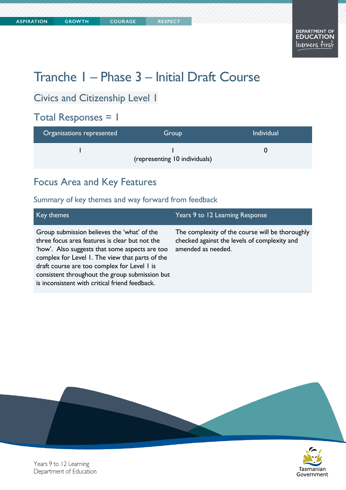**COURAGE** 

# Tranche 1 – Phase 3 – Initial Draft Course

#### Civics and Citizenship Level 1

#### Total Responses = 1

| Organisations represented | Group                         | <b>Individual</b> |
|---------------------------|-------------------------------|-------------------|
|                           | (representing 10 individuals) |                   |

#### Focus Area and Key Features

#### Summary of key themes and way forward from feedback

| Key themes                                                                                                                                                                                                                                                                                                                                            | Years 9 to 12 Learning Response                                                                                       |
|-------------------------------------------------------------------------------------------------------------------------------------------------------------------------------------------------------------------------------------------------------------------------------------------------------------------------------------------------------|-----------------------------------------------------------------------------------------------------------------------|
| Group submission believes the 'what' of the<br>three focus area features is clear but not the<br>'how'. Also suggests that some aspects are too<br>complex for Level 1. The view that parts of the<br>draft course are too complex for Level I is<br>consistent throughout the group submission but<br>is inconsistent with critical friend feedback. | The complexity of the course will be thoroughly<br>checked against the levels of complexity and<br>amended as needed. |





Years 9 to 12 Learning Department of Education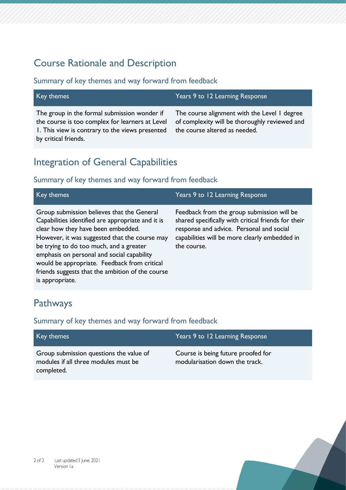#### Course Rationale and Description

Summary of key themes and way forward from feedback

| Key themes                                                                                                                                                                 | Years 9 to 12 Learning Response                                                                                                |
|----------------------------------------------------------------------------------------------------------------------------------------------------------------------------|--------------------------------------------------------------------------------------------------------------------------------|
| The group in the formal submission wonder if<br>the course is too complex for learners at Level<br>I. This view is contrary to the views presented<br>by critical friends. | The course alignment with the Level I degree<br>of complexity will be thoroughly reviewed and<br>the course altered as needed. |

#### Integration of General Capabilities

#### Summary of key themes and way forward from feedback

| Key themes                                                                                                                                                                                                                                                                                                                                                                                             | Years 9 to 12 Learning Response                                                                                                                                                                               |
|--------------------------------------------------------------------------------------------------------------------------------------------------------------------------------------------------------------------------------------------------------------------------------------------------------------------------------------------------------------------------------------------------------|---------------------------------------------------------------------------------------------------------------------------------------------------------------------------------------------------------------|
| Group submission believes that the General<br>Capabilities identified are appropriate and it is<br>clear how they have been embedded.<br>However, it was suggested that the course may<br>be trying to do too much, and a greater<br>emphasis on personal and social capability<br>would be appropriate. Feedback from critical<br>friends suggests that the ambition of the course<br>is appropriate. | Feedback from the group submission will be<br>shared specifically with critical friends for their<br>response and advice. Personal and social<br>capabilities will be more clearly embedded in<br>the course. |

### Pathways

#### Summary of key themes and way forward from feedback

| Key themes                                                                                    | Years 9 to 12 Learning Response                                      |
|-----------------------------------------------------------------------------------------------|----------------------------------------------------------------------|
| Group submission questions the value of<br>modules if all three modules must be<br>completed. | Course is being future proofed for<br>modularisation down the track. |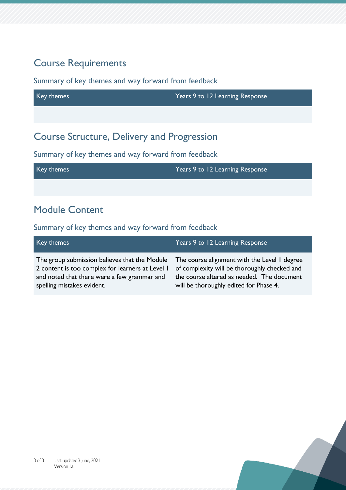#### Course Requirements

Summary of key themes and way forward from feedback

Key themes Years 9 to 12 Learning Response Course Structure, Delivery and Progression

Summary of key themes and way forward from feedback

Key themes Years 9 to 12 Learning Response

### Module Content

Summary of key themes and way forward from feedback

| Key themes                                       | Years 9 to 12 Learning Response              |
|--------------------------------------------------|----------------------------------------------|
| The group submission believes that the Module    | The course alignment with the Level I degree |
| 2 content is too complex for learners at Level 1 | of complexity will be thoroughly checked and |
| and noted that there were a few grammar and      | the course altered as needed. The document   |
| spelling mistakes evident.                       | will be thoroughly edited for Phase 4.       |

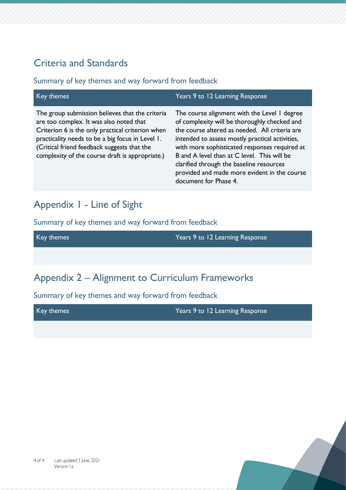#### Criteria and Standards

#### Summary of key themes and way forward from feedback

| Key themes                                                                                                                                                                                                                                                                                           | Years 9 to 12 Learning Response                                                                                                                                                                                                                                                                                                                                                                                        |
|------------------------------------------------------------------------------------------------------------------------------------------------------------------------------------------------------------------------------------------------------------------------------------------------------|------------------------------------------------------------------------------------------------------------------------------------------------------------------------------------------------------------------------------------------------------------------------------------------------------------------------------------------------------------------------------------------------------------------------|
| The group submission believes that the criteria<br>are too complex. It was also noted that<br>Criterion 6 is the only practical criterion when<br>practicality needs to be a big focus in Level 1.<br>(Critical friend feedback suggests that the<br>complexity of the course draft is appropriate.) | The course alignment with the Level 1 degree<br>of complexity will be thoroughly checked and<br>the course altered as needed. All criteria are<br>intended to assess mostly practical activities,<br>with more sophisticated responses required at<br>B and A level than at C level. This will be<br>clarified through the baseline resources<br>provided and made more evident in the course<br>document for Phase 4. |

#### Appendix 1 - Line of Sight

Summary of key themes and way forward from feedback

Key themes Years 9 to 12 Learning Response

#### Appendix 2 – Alignment to Curriculum Frameworks

Summary of key themes and way forward from feedback

Key themes Years 9 to 12 Learning Response